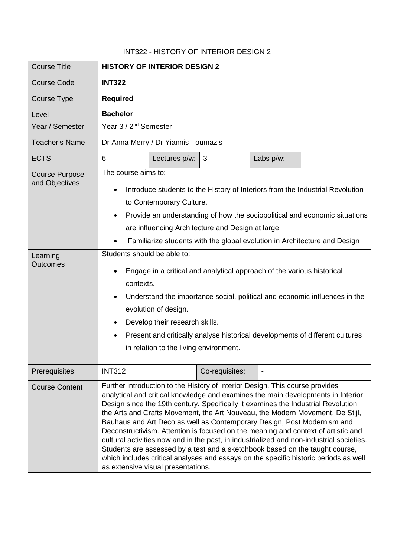## INT322 - HISTORY OF INTERIOR DESIGN 2

| <b>Course Title</b>                                                    | <b>HISTORY OF INTERIOR DESIGN 2</b>                                                                                                                                                                                                                                                                                                                                                                                                                                                                                                                                                                                                                                                                                                                                                                               |
|------------------------------------------------------------------------|-------------------------------------------------------------------------------------------------------------------------------------------------------------------------------------------------------------------------------------------------------------------------------------------------------------------------------------------------------------------------------------------------------------------------------------------------------------------------------------------------------------------------------------------------------------------------------------------------------------------------------------------------------------------------------------------------------------------------------------------------------------------------------------------------------------------|
| <b>Course Code</b>                                                     | <b>INT322</b>                                                                                                                                                                                                                                                                                                                                                                                                                                                                                                                                                                                                                                                                                                                                                                                                     |
| Course Type                                                            | <b>Required</b>                                                                                                                                                                                                                                                                                                                                                                                                                                                                                                                                                                                                                                                                                                                                                                                                   |
| Level                                                                  | <b>Bachelor</b>                                                                                                                                                                                                                                                                                                                                                                                                                                                                                                                                                                                                                                                                                                                                                                                                   |
| Year / Semester                                                        | Year 3 / 2 <sup>nd</sup> Semester                                                                                                                                                                                                                                                                                                                                                                                                                                                                                                                                                                                                                                                                                                                                                                                 |
| <b>Teacher's Name</b>                                                  | Dr Anna Merry / Dr Yiannis Toumazis                                                                                                                                                                                                                                                                                                                                                                                                                                                                                                                                                                                                                                                                                                                                                                               |
| <b>ECTS</b>                                                            | 6<br>3<br>Labs p/w:<br>Lectures p/w:<br>$\overline{\phantom{0}}$                                                                                                                                                                                                                                                                                                                                                                                                                                                                                                                                                                                                                                                                                                                                                  |
| <b>Course Purpose</b><br>and Objectives<br>Learning<br><b>Outcomes</b> | The course aims to:<br>Introduce students to the History of Interiors from the Industrial Revolution<br>٠<br>to Contemporary Culture.<br>Provide an understanding of how the sociopolitical and economic situations<br>are influencing Architecture and Design at large.<br>Familiarize students with the global evolution in Architecture and Design<br>Students should be able to:<br>Engage in a critical and analytical approach of the various historical<br>contexts.<br>Understand the importance social, political and economic influences in the<br>evolution of design.<br>Develop their research skills.<br>Present and critically analyse historical developments of different cultures<br>in relation to the living environment.                                                                     |
| Prerequisites                                                          | <b>INT312</b><br>Co-requisites:                                                                                                                                                                                                                                                                                                                                                                                                                                                                                                                                                                                                                                                                                                                                                                                   |
| <b>Course Content</b>                                                  | Further introduction to the History of Interior Design. This course provides<br>analytical and critical knowledge and examines the main developments in Interior<br>Design since the 19th century. Specifically it examines the Industrial Revolution,<br>the Arts and Crafts Movement, the Art Nouveau, the Modern Movement, De Stijl,<br>Bauhaus and Art Deco as well as Contemporary Design, Post Modernism and<br>Deconstructivism. Attention is focused on the meaning and context of artistic and<br>cultural activities now and in the past, in industrialized and non-industrial societies.<br>Students are assessed by a test and a sketchbook based on the taught course,<br>which includes critical analyses and essays on the specific historic periods as well<br>as extensive visual presentations. |